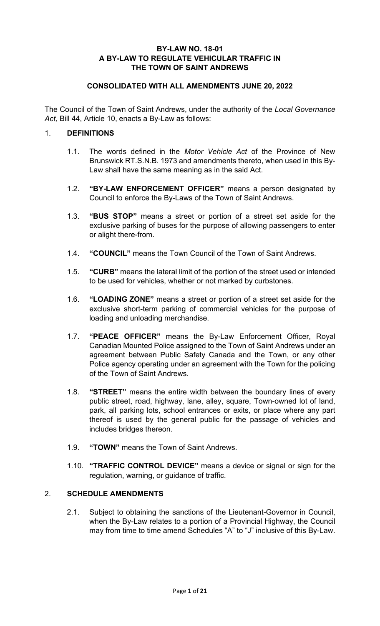#### **BY-LAW NO. 18-01 A BY-LAW TO REGULATE VEHICULAR TRAFFIC IN THE TOWN OF SAINT ANDREWS**

### **CONSOLIDATED WITH ALL AMENDMENTS JUNE 20, 2022**

The Council of the Town of Saint Andrews, under the authority of the *Local Governance Act,* Bill 44, Article 10, enacts a By-Law as follows:

#### 1. **DEFINITIONS**

- 1.1. The words defined in the *Motor Vehicle Act* of the Province of New Brunswick RT.S.N.B. 1973 and amendments thereto, when used in this By-Law shall have the same meaning as in the said Act.
- 1.2. **"BY-LAW ENFORCEMENT OFFICER"** means a person designated by Council to enforce the By-Laws of the Town of Saint Andrews.
- 1.3. **"BUS STOP"** means a street or portion of a street set aside for the exclusive parking of buses for the purpose of allowing passengers to enter or alight there-from.
- 1.4. **"COUNCIL"** means the Town Council of the Town of Saint Andrews.
- 1.5. **"CURB"** means the lateral limit of the portion of the street used or intended to be used for vehicles, whether or not marked by curbstones.
- 1.6. **"LOADING ZONE"** means a street or portion of a street set aside for the exclusive short-term parking of commercial vehicles for the purpose of loading and unloading merchandise.
- 1.7. **"PEACE OFFICER"** means the By-Law Enforcement Officer, Royal Canadian Mounted Police assigned to the Town of Saint Andrews under an agreement between Public Safety Canada and the Town, or any other Police agency operating under an agreement with the Town for the policing of the Town of Saint Andrews.
- 1.8. **"STREET"** means the entire width between the boundary lines of every public street, road, highway, lane, alley, square, Town-owned lot of land, park, all parking lots, school entrances or exits, or place where any part thereof is used by the general public for the passage of vehicles and includes bridges thereon.
- 1.9. **"TOWN"** means the Town of Saint Andrews.
- 1.10. **"TRAFFIC CONTROL DEVICE"** means a device or signal or sign for the regulation, warning, or guidance of traffic.

## 2. **SCHEDULE AMENDMENTS**

2.1. Subject to obtaining the sanctions of the Lieutenant-Governor in Council, when the By-Law relates to a portion of a Provincial Highway, the Council may from time to time amend Schedules "A" to "J" inclusive of this By-Law.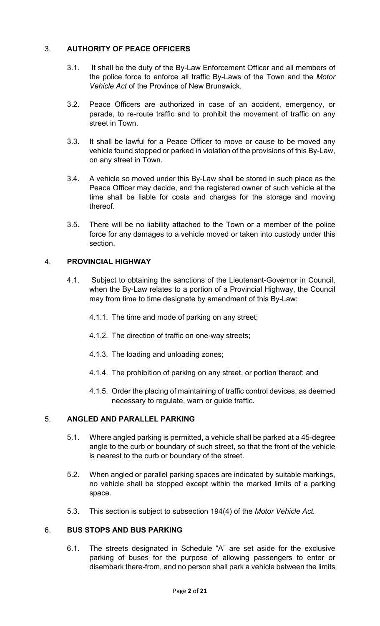## 3. **AUTHORITY OF PEACE OFFICERS**

- 3.1. It shall be the duty of the By-Law Enforcement Officer and all members of the police force to enforce all traffic By-Laws of the Town and the *Motor Vehicle Act* of the Province of New Brunswick.
- 3.2. Peace Officers are authorized in case of an accident, emergency, or parade, to re-route traffic and to prohibit the movement of traffic on any street in Town.
- 3.3. It shall be lawful for a Peace Officer to move or cause to be moved any vehicle found stopped or parked in violation of the provisions of this By-Law, on any street in Town.
- 3.4. A vehicle so moved under this By-Law shall be stored in such place as the Peace Officer may decide, and the registered owner of such vehicle at the time shall be liable for costs and charges for the storage and moving thereof.
- 3.5. There will be no liability attached to the Town or a member of the police force for any damages to a vehicle moved or taken into custody under this section.

## 4. **PROVINCIAL HIGHWAY**

- 4.1. Subject to obtaining the sanctions of the Lieutenant-Governor in Council, when the By-Law relates to a portion of a Provincial Highway, the Council may from time to time designate by amendment of this By-Law:
	- 4.1.1. The time and mode of parking on any street;
	- 4.1.2. The direction of traffic on one-way streets;
	- 4.1.3. The loading and unloading zones;
	- 4.1.4. The prohibition of parking on any street, or portion thereof; and
	- 4.1.5. Order the placing of maintaining of traffic control devices, as deemed necessary to regulate, warn or guide traffic.

#### 5. **ANGLED AND PARALLEL PARKING**

- 5.1. Where angled parking is permitted, a vehicle shall be parked at a 45-degree angle to the curb or boundary of such street, so that the front of the vehicle is nearest to the curb or boundary of the street.
- 5.2. When angled or parallel parking spaces are indicated by suitable markings, no vehicle shall be stopped except within the marked limits of a parking space.
- 5.3. This section is subject to subsection 194(4) of the *Motor Vehicle Act.*

#### 6. **BUS STOPS AND BUS PARKING**

6.1. The streets designated in Schedule "A" are set aside for the exclusive parking of buses for the purpose of allowing passengers to enter or disembark there-from, and no person shall park a vehicle between the limits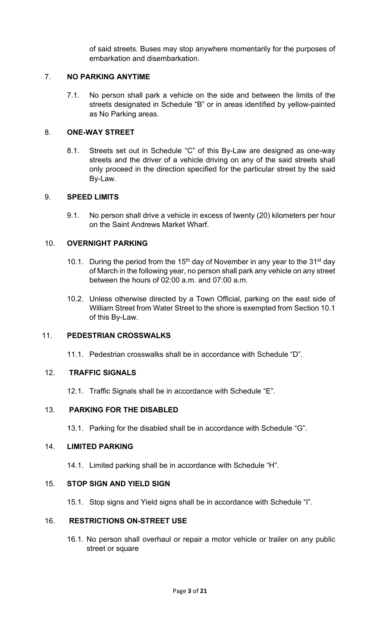of said streets. Buses may stop anywhere momentarily for the purposes of embarkation and disembarkation.

## 7. **NO PARKING ANYTIME**

7.1. No person shall park a vehicle on the side and between the limits of the streets designated in Schedule "B" or in areas identified by yellow-painted as No Parking areas.

### 8. **ONE-WAY STREET**

8.1. Streets set out in Schedule "C" of this By-Law are designed as one-way streets and the driver of a vehicle driving on any of the said streets shall only proceed in the direction specified for the particular street by the said By-Law.

#### 9. **SPEED LIMITS**

9.1. No person shall drive a vehicle in excess of twenty (20) kilometers per hour on the Saint Andrews Market Wharf.

#### 10. **OVERNIGHT PARKING**

- 10.1. During the period from the 15<sup>th</sup> day of November in any year to the 31<sup>st</sup> day of March in the following year, no person shall park any vehicle on any street between the hours of 02:00 a.m. and 07:00 a.m.
- 10.2. Unless otherwise directed by a Town Official, parking on the east side of William Street from Water Street to the shore is exempted from Section 10.1 of this By-Law.

#### 11. **PEDESTRIAN CROSSWALKS**

11.1. Pedestrian crosswalks shall be in accordance with Schedule "D".

#### 12. **TRAFFIC SIGNALS**

12.1. Traffic Signals shall be in accordance with Schedule "E".

#### 13. **PARKING FOR THE DISABLED**

13.1. Parking for the disabled shall be in accordance with Schedule "G".

#### 14. **LIMITED PARKING**

14.1. Limited parking shall be in accordance with Schedule "H".

## 15. **STOP SIGN AND YIELD SIGN**

15.1. Stop signs and Yield signs shall be in accordance with Schedule "I".

#### 16. **RESTRICTIONS ON-STREET USE**

16.1. No person shall overhaul or repair a motor vehicle or trailer on any public street or square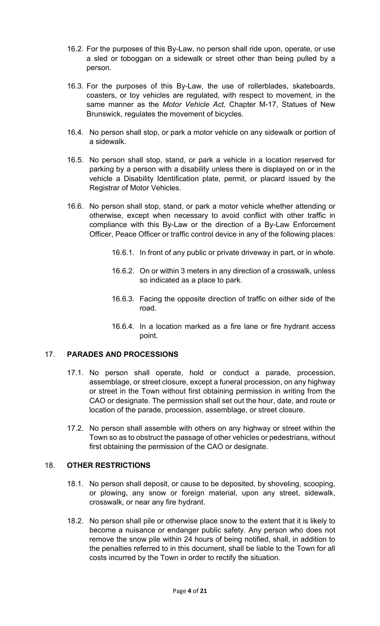- 16.2. For the purposes of this By-Law, no person shall ride upon, operate, or use a sled or toboggan on a sidewalk or street other than being pulled by a person.
- 16.3. For the purposes of this By-Law, the use of rollerblades, skateboards, coasters, or toy vehicles are regulated, with respect to movement, in the same manner as the *Motor Vehicle Act,* Chapter M-17, Statues of New Brunswick, regulates the movement of bicycles.
- 16.4. No person shall stop, or park a motor vehicle on any sidewalk or portion of a sidewalk.
- 16.5. No person shall stop, stand, or park a vehicle in a location reserved for parking by a person with a disability unless there is displayed on or in the vehicle a Disability Identification plate, permit, or placard issued by the Registrar of Motor Vehicles.
- 16.6. No person shall stop, stand, or park a motor vehicle whether attending or otherwise, except when necessary to avoid conflict with other traffic in compliance with this By-Law or the direction of a By-Law Enforcement Officer, Peace Officer or traffic control device in any of the following places:
	- 16.6.1. In front of any public or private driveway in part, or in whole.
	- 16.6.2. On or within 3 meters in any direction of a crosswalk, unless so indicated as a place to park.
	- 16.6.3. Facing the opposite direction of traffic on either side of the road.
	- 16.6.4. In a location marked as a fire lane or fire hydrant access point.

#### 17. **PARADES AND PROCESSIONS**

- 17.1. No person shall operate, hold or conduct a parade, procession, assemblage, or street closure, except a funeral procession, on any highway or street in the Town without first obtaining permission in writing from the CAO or designate. The permission shall set out the hour, date, and route or location of the parade, procession, assemblage, or street closure.
- 17.2. No person shall assemble with others on any highway or street within the Town so as to obstruct the passage of other vehicles or pedestrians, without first obtaining the permission of the CAO or designate.

#### 18. **OTHER RESTRICTIONS**

- 18.1. No person shall deposit, or cause to be deposited, by shoveling, scooping, or plowing, any snow or foreign material, upon any street, sidewalk, crosswalk, or near any fire hydrant.
- 18.2. No person shall pile or otherwise place snow to the extent that it is likely to become a nuisance or endanger public safety. Any person who does not remove the snow pile within 24 hours of being notified, shall, in addition to the penalties referred to in this document, shall be liable to the Town for all costs incurred by the Town in order to rectify the situation.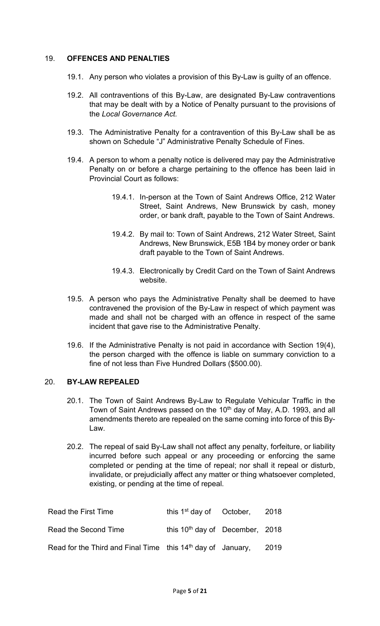#### 19. **OFFENCES AND PENALTIES**

- 19.1. Any person who violates a provision of this By-Law is guilty of an offence.
- 19.2. All contraventions of this By-Law, are designated By-Law contraventions that may be dealt with by a Notice of Penalty pursuant to the provisions of the *Local Governance Act.*
- 19.3. The Administrative Penalty for a contravention of this By-Law shall be as shown on Schedule "J" Administrative Penalty Schedule of Fines.
- 19.4. A person to whom a penalty notice is delivered may pay the Administrative Penalty on or before a charge pertaining to the offence has been laid in Provincial Court as follows:
	- 19.4.1. In-person at the Town of Saint Andrews Office, 212 Water Street, Saint Andrews, New Brunswick by cash, money order, or bank draft, payable to the Town of Saint Andrews.
	- 19.4.2. By mail to: Town of Saint Andrews, 212 Water Street, Saint Andrews, New Brunswick, E5B 1B4 by money order or bank draft payable to the Town of Saint Andrews.
	- 19.4.3. Electronically by Credit Card on the Town of Saint Andrews website.
- 19.5. A person who pays the Administrative Penalty shall be deemed to have contravened the provision of the By-Law in respect of which payment was made and shall not be charged with an offence in respect of the same incident that gave rise to the Administrative Penalty.
- 19.6. If the Administrative Penalty is not paid in accordance with Section 19(4), the person charged with the offence is liable on summary conviction to a fine of not less than Five Hundred Dollars (\$500.00).

#### 20. **BY-LAW REPEALED**

- 20.1. The Town of Saint Andrews By-Law to Regulate Vehicular Traffic in the Town of Saint Andrews passed on the 10<sup>th</sup> day of May, A.D. 1993, and all amendments thereto are repealed on the same coming into force of this By-Law.
- 20.2. The repeal of said By-Law shall not affect any penalty, forfeiture, or liability incurred before such appeal or any proceeding or enforcing the same completed or pending at the time of repeal; nor shall it repeal or disturb, invalidate, or prejudicially affect any matter or thing whatsoever completed, existing, or pending at the time of repeal.

| Read the First Time                                           | this $1st$ day of October, 2018   |      |
|---------------------------------------------------------------|-----------------------------------|------|
| Read the Second Time                                          | this $10th$ day of December, 2018 |      |
| Read for the Third and Final Time this $14th$ day of January, |                                   | 2019 |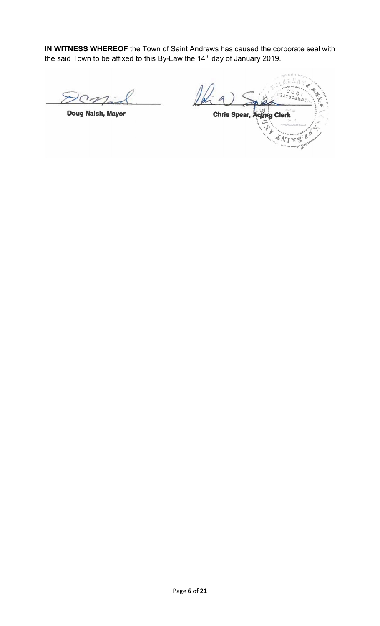**IN WITNESS WHEREOF** the Town of Saint Andrews has caused the corporate seal with the said Town to be affixed to this By-Law the 14<sup>th</sup> day of January 2019.

Doug Naish, Mayor

âх Chris Spear, Acting Clerk ò  $\lambda$ VТ  $\forall S$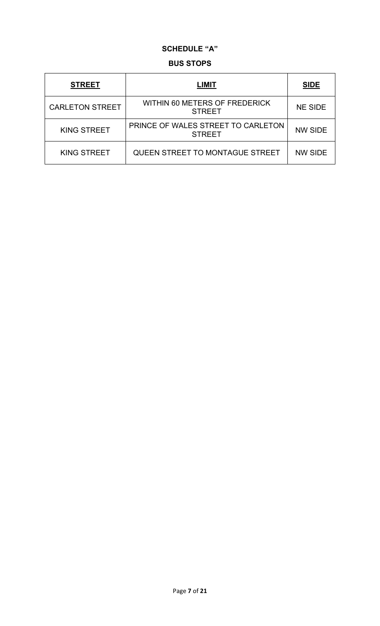## **SCHEDULE "A"**

#### **BUS STOPS**

| <b>STREET</b>          | LIMIT                                               | <b>SIDE</b>    |
|------------------------|-----------------------------------------------------|----------------|
| <b>CARLETON STREET</b> | WITHIN 60 METERS OF FREDERICK<br><b>STREET</b>      | <b>NE SIDE</b> |
| <b>KING STREET</b>     | PRINCE OF WALES STREET TO CARLETON<br><b>STREET</b> | <b>NW SIDE</b> |
| <b>KING STREET</b>     | QUEEN STREET TO MONTAGUE STREET                     | <b>NW SIDE</b> |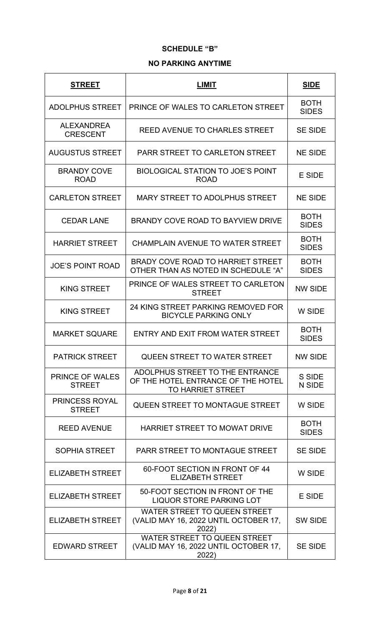## **SCHEDULE "B"**

### **NO PARKING ANYTIME**

| <b>STREET</b>                           | <b>LIMIT</b>                                                                                      | <u>SIDE</u>                 |
|-----------------------------------------|---------------------------------------------------------------------------------------------------|-----------------------------|
| <b>ADOLPHUS STREET</b>                  | PRINCE OF WALES TO CARLETON STREET                                                                | <b>BOTH</b><br><b>SIDES</b> |
| <b>ALEXANDREA</b><br><b>CRESCENT</b>    | <b>REED AVENUE TO CHARLES STREET</b>                                                              | <b>SE SIDE</b>              |
| <b>AUGUSTUS STREET</b>                  | <b>PARR STREET TO CARLETON STREET</b>                                                             | <b>NE SIDE</b>              |
| <b>BRANDY COVE</b><br><b>ROAD</b>       | <b>BIOLOGICAL STATION TO JOE'S POINT</b><br><b>ROAD</b>                                           | <b>E SIDE</b>               |
| <b>CARLETON STREET</b>                  | MARY STREET TO ADOLPHUS STREET                                                                    | <b>NE SIDE</b>              |
| <b>CEDAR LANE</b>                       | BRANDY COVE ROAD TO BAYVIEW DRIVE                                                                 | <b>BOTH</b><br><b>SIDES</b> |
| <b>HARRIET STREET</b>                   | <b>CHAMPLAIN AVENUE TO WATER STREET</b>                                                           | <b>BOTH</b><br><b>SIDES</b> |
| <b>JOE'S POINT ROAD</b>                 | BRADY COVE ROAD TO HARRIET STREET<br>OTHER THAN AS NOTED IN SCHEDULE "A"                          | <b>BOTH</b><br><b>SIDES</b> |
| <b>KING STREET</b>                      | PRINCE OF WALES STREET TO CARLETON<br><b>STREET</b>                                               | <b>NW SIDE</b>              |
| <b>KING STREET</b>                      | 24 KING STREET PARKING REMOVED FOR<br><b>BICYCLE PARKING ONLY</b>                                 | W SIDE                      |
| <b>MARKET SQUARE</b>                    | ENTRY AND EXIT FROM WATER STREET                                                                  | <b>BOTH</b><br><b>SIDES</b> |
| <b>PATRICK STREET</b>                   | <b>QUEEN STREET TO WATER STREET</b>                                                               | <b>NW SIDE</b>              |
| <b>PRINCE OF WALES</b><br><b>STREET</b> | ADOLPHUS STREET TO THE ENTRANCE<br>OF THE HOTEL ENTRANCE OF THE HOTEL<br><b>TO HARRIET STREET</b> | S SIDE<br>N SIDE            |
| <b>PRINCESS ROYAL</b><br><b>STREET</b>  | QUEEN STREET TO MONTAGUE STREET                                                                   | W SIDE                      |
| <b>REED AVENUE</b>                      | <b>HARRIET STREET TO MOWAT DRIVE</b>                                                              | <b>BOTH</b><br><b>SIDES</b> |
| <b>SOPHIA STREET</b>                    | <b>PARR STREET TO MONTAGUE STREET</b>                                                             | <b>SE SIDE</b>              |
| <b>ELIZABETH STREET</b>                 | 60-FOOT SECTION IN FRONT OF 44<br><b>ELIZABETH STREET</b>                                         | W SIDE                      |
| <b>ELIZABETH STREET</b>                 | 50-FOOT SECTION IN FRONT OF THE<br><b>LIQUOR STORE PARKING LOT</b>                                | <b>E SIDE</b>               |
| <b>ELIZABETH STREET</b>                 | WATER STREET TO QUEEN STREET<br>(VALID MAY 16, 2022 UNTIL OCTOBER 17,<br>2022)                    | <b>SW SIDE</b>              |
| <b>EDWARD STREET</b>                    | <b>WATER STREET TO QUEEN STREET</b><br>(VALID MAY 16, 2022 UNTIL OCTOBER 17,<br>2022)             | <b>SE SIDE</b>              |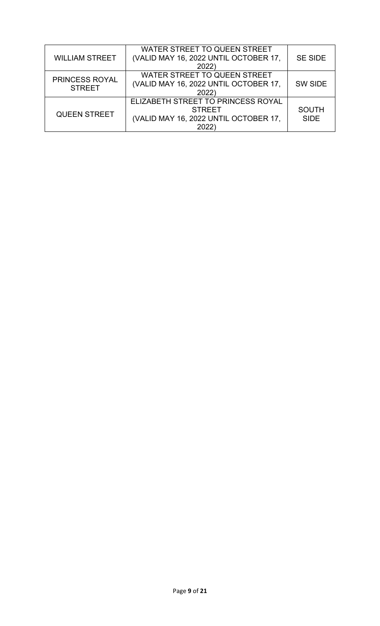| <b>WILLIAM STREET</b>           | WATER STREET TO QUEEN STREET<br>(VALID MAY 16, 2022 UNTIL OCTOBER 17,<br>2022)                       | <b>SE SIDE</b>              |
|---------------------------------|------------------------------------------------------------------------------------------------------|-----------------------------|
| PRINCESS ROYAL<br><b>STREET</b> | WATER STREET TO QUEEN STREET<br>(VALID MAY 16, 2022 UNTIL OCTOBER 17,<br>2022                        | SW SIDE                     |
| <b>QUEEN STREET</b>             | ELIZABETH STREET TO PRINCESS ROYAL<br><b>STREET</b><br>(VALID MAY 16, 2022 UNTIL OCTOBER 17,<br>2022 | <b>SOUTH</b><br><b>SIDE</b> |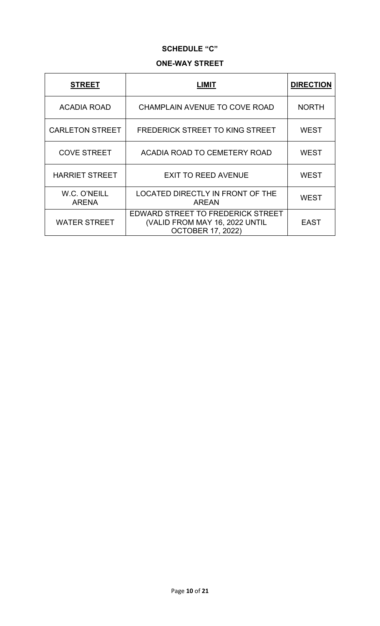## **SCHEDULE "C"**

### **ONE-WAY STREET**

| <b>STREET</b>                | .IMIT                                                                                           | <b>DIRECTION</b> |
|------------------------------|-------------------------------------------------------------------------------------------------|------------------|
| <b>ACADIA ROAD</b>           | CHAMPLAIN AVENUE TO COVE ROAD                                                                   | <b>NORTH</b>     |
| <b>CARLETON STREET</b>       | <b>FREDERICK STREET TO KING STREET</b>                                                          | <b>WEST</b>      |
| <b>COVE STREET</b>           | ACADIA ROAD TO CEMETERY ROAD                                                                    | <b>WEST</b>      |
| <b>HARRIET STREET</b>        | <b>EXIT TO REED AVENUE</b>                                                                      | <b>WEST</b>      |
| W.C. O'NEILL<br><b>ARENA</b> | LOCATED DIRECTLY IN FRONT OF THE<br><b>AREAN</b>                                                | <b>WEST</b>      |
| <b>WATER STREET</b>          | EDWARD STREET TO FREDERICK STREET<br>(VALID FROM MAY 16, 2022 UNTIL<br><b>OCTOBER 17, 2022)</b> | EAST             |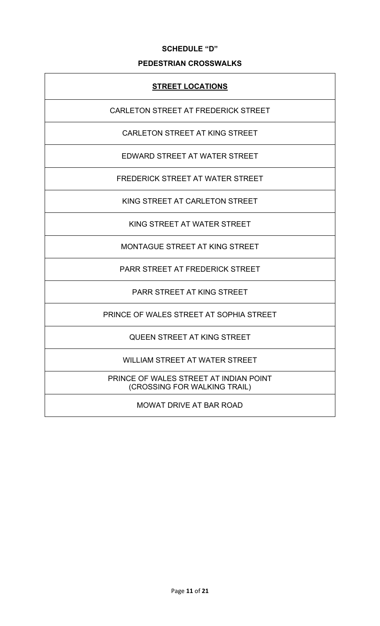#### **SCHEDULE "D"**

## **PEDESTRIAN CROSSWALKS**

## **STREET LOCATIONS**

CARLETON STREET AT FREDERICK STREET

CARLETON STREET AT KING STREET

EDWARD STREET AT WATER STREET

FREDERICK STREET AT WATER STREET

KING STREET AT CARLETON STREET

KING STREET AT WATER STREET

MONTAGUE STREET AT KING STREET

PARR STREET AT FREDERICK STREET

PARR STREET AT KING STREET

PRINCE OF WALES STREET AT SOPHIA STREET

QUEEN STREET AT KING STREET

WILLIAM STREET AT WATER STREET

PRINCE OF WALES STREET AT INDIAN POINT (CROSSING FOR WALKING TRAIL)

MOWAT DRIVE AT BAR ROAD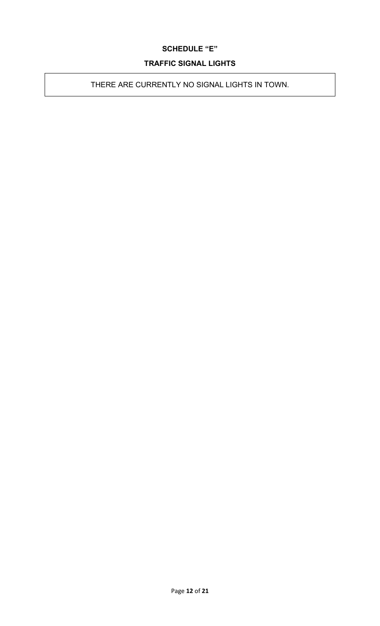## **SCHEDULE "E"**

## **TRAFFIC SIGNAL LIGHTS**

THERE ARE CURRENTLY NO SIGNAL LIGHTS IN TOWN.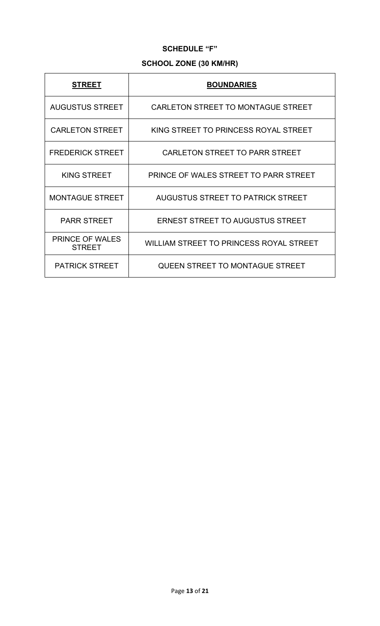## **SCHEDULE "F"**

# **SCHOOL ZONE (30 KM/HR)**

| <b>STREET</b>                           | <b>BOUNDARIES</b>                       |
|-----------------------------------------|-----------------------------------------|
| <b>AUGUSTUS STREET</b>                  | CARLETON STREET TO MONTAGUE STREET      |
| <b>CARLETON STREET</b>                  | KING STREET TO PRINCESS ROYAL STREET    |
| <b>FREDERICK STREET</b>                 | CARLETON STREET TO PARR STREET          |
| <b>KING STREET</b>                      | PRINCE OF WALES STREET TO PARR STREET   |
| <b>MONTAGUE STREET</b>                  | AUGUSTUS STREET TO PATRICK STREET       |
| <b>PARR STREET</b>                      | <b>ERNEST STREET TO AUGUSTUS STREET</b> |
| <b>PRINCE OF WALES</b><br><b>STREET</b> | WILLIAM STREET TO PRINCESS ROYAL STREET |
| <b>PATRICK STREET</b>                   | <b>QUEEN STREET TO MONTAGUE STREET</b>  |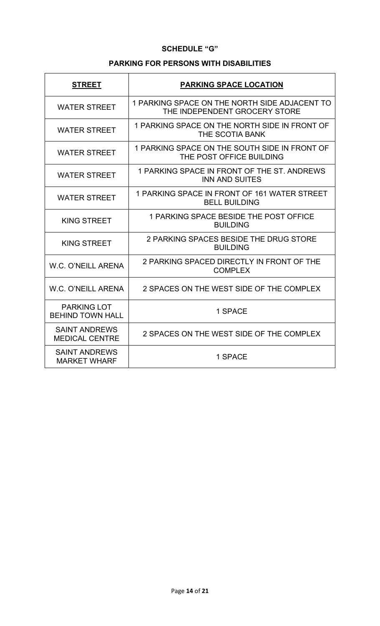## **SCHEDULE "G"**

## **PARKING FOR PERSONS WITH DISABILITIES**

| <b>STREET</b>                                 | <b>PARKING SPACE LOCATION</b>                                                  |
|-----------------------------------------------|--------------------------------------------------------------------------------|
| <b>WATER STREET</b>                           | 1 PARKING SPACE ON THE NORTH SIDE ADJACENT TO<br>THE INDEPENDENT GROCERY STORE |
| <b>WATER STREET</b>                           | 1 PARKING SPACE ON THE NORTH SIDE IN FRONT OF<br>THE SCOTIA BANK               |
| <b>WATER STREET</b>                           | 1 PARKING SPACE ON THE SOUTH SIDE IN FRONT OF<br>THE POST OFFICE BUILDING      |
| <b>WATER STREET</b>                           | 1 PARKING SPACE IN FRONT OF THE ST. ANDREWS<br><b>INN AND SUITES</b>           |
| <b>WATER STREET</b>                           | 1 PARKING SPACE IN FRONT OF 161 WATER STREET<br><b>BELL BUILDING</b>           |
| <b>KING STREET</b>                            | 1 PARKING SPACE BESIDE THE POST OFFICE<br><b>BUILDING</b>                      |
| <b>KING STREET</b>                            | 2 PARKING SPACES BESIDE THE DRUG STORE<br><b>BUILDING</b>                      |
| W.C. O'NEILL ARENA                            | 2 PARKING SPACED DIRECTLY IN FRONT OF THE<br><b>COMPLEX</b>                    |
| <b>W.C. O'NEILL ARENA</b>                     | 2 SPACES ON THE WEST SIDE OF THE COMPLEX                                       |
| <b>PARKING LOT</b><br><b>BEHIND TOWN HALL</b> | 1 SPACE                                                                        |
| <b>SAINT ANDREWS</b><br><b>MEDICAL CENTRE</b> | 2 SPACES ON THE WEST SIDE OF THE COMPLEX                                       |
| <b>SAINT ANDREWS</b><br><b>MARKET WHARF</b>   | 1 SPACE                                                                        |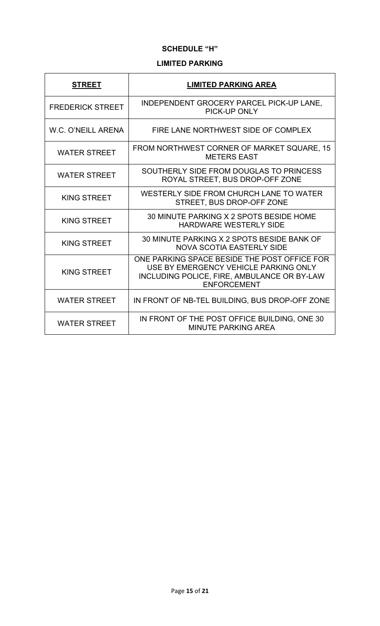## **SCHEDULE "H"**

## **LIMITED PARKING**

| <b>STREET</b>           | <b>LIMITED PARKING AREA</b>                                                                                                                                |
|-------------------------|------------------------------------------------------------------------------------------------------------------------------------------------------------|
| <b>FREDERICK STREET</b> | INDEPENDENT GROCERY PARCEL PICK-UP LANE,<br>PICK-UP ONLY                                                                                                   |
| W.C. O'NEILL ARENA      | FIRE LANE NORTHWEST SIDE OF COMPLEX                                                                                                                        |
| <b>WATER STREET</b>     | FROM NORTHWEST CORNER OF MARKET SQUARE, 15<br><b>METERS EAST</b>                                                                                           |
| <b>WATER STREET</b>     | SOUTHERLY SIDE FROM DOUGLAS TO PRINCESS<br>ROYAL STREET, BUS DROP-OFF ZONE                                                                                 |
| <b>KING STREET</b>      | WESTERLY SIDE FROM CHURCH LANE TO WATER<br>STREET, BUS DROP-OFF ZONE                                                                                       |
| <b>KING STREET</b>      | 30 MINUTE PARKING X 2 SPOTS BESIDE HOME<br><b>HARDWARE WESTERLY SIDE</b>                                                                                   |
| <b>KING STREET</b>      | 30 MINUTE PARKING X 2 SPOTS BESIDE BANK OF<br><b>NOVA SCOTIA EASTERLY SIDE</b>                                                                             |
| <b>KING STREET</b>      | ONE PARKING SPACE BESIDE THE POST OFFICE FOR<br>USE BY EMERGENCY VEHICLE PARKING ONLY<br>INCLUDING POLICE, FIRE, AMBULANCE OR BY-LAW<br><b>ENFORCEMENT</b> |
| <b>WATER STREET</b>     | IN FRONT OF NB-TEL BUILDING, BUS DROP-OFF ZONE                                                                                                             |
| <b>WATER STREET</b>     | IN FRONT OF THE POST OFFICE BUILDING, ONE 30<br><b>MINUTE PARKING AREA</b>                                                                                 |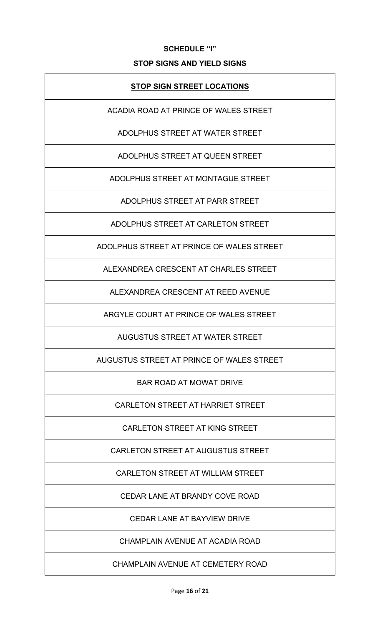## **SCHEDULE "I"**

## **STOP SIGNS AND YIELD SIGNS**

## **STOP SIGN STREET LOCATIONS**

ACADIA ROAD AT PRINCE OF WALES STREET

ADOLPHUS STREET AT WATER STREET

ADOLPHUS STREET AT QUEEN STREET

ADOLPHUS STREET AT MONTAGUE STREET

ADOLPHUS STREET AT PARR STREET

ADOLPHUS STREET AT CARLETON STREET

ADOLPHUS STREET AT PRINCE OF WALES STREET

ALEXANDREA CRESCENT AT CHARLES STREET

ALEXANDREA CRESCENT AT REED AVENUE

ARGYLE COURT AT PRINCE OF WALES STREET

AUGUSTUS STREET AT WATER STREET

AUGUSTUS STREET AT PRINCE OF WALES STREET

BAR ROAD AT MOWAT DRIVE

CARLETON STREET AT HARRIET STREET

CARLETON STREET AT KING STREET

CARLETON STREET AT AUGUSTUS STREET

CARLETON STREET AT WILLIAM STREET

CEDAR LANE AT BRANDY COVE ROAD

CEDAR LANE AT BAYVIEW DRIVE

CHAMPLAIN AVENUE AT ACADIA ROAD

CHAMPLAIN AVENUE AT CEMETERY ROAD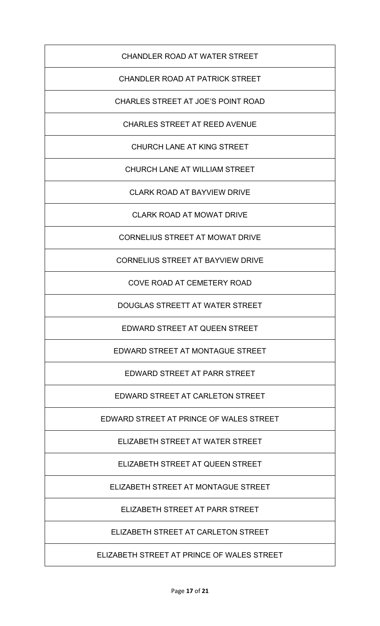# CHANDLER ROAD AT WATER STREET

# CHANDLER ROAD AT PATRICK STREET

CHARLES STREET AT JOE'S POINT ROAD

CHARLES STREET AT REED AVENUE

CHURCH LANE AT KING STREET

CHURCH LANE AT WILLIAM STREET

CLARK ROAD AT BAYVIEW DRIVE

CLARK ROAD AT MOWAT DRIVE

CORNELIUS STREET AT MOWAT DRIVE

CORNELIUS STREET AT BAYVIEW DRIVE

COVE ROAD AT CEMETERY ROAD

DOUGLAS STREETT AT WATER STREET

EDWARD STREET AT QUEEN STREET

EDWARD STREET AT MONTAGUE STREET

EDWARD STREET AT PARR STREET

EDWARD STREET AT CARLETON STREET

EDWARD STREET AT PRINCE OF WALES STREET

ELIZABETH STREET AT WATER STREET

ELIZABETH STREET AT QUEEN STREET

ELIZABETH STREET AT MONTAGUE STREET

ELIZABETH STREET AT PARR STREET

ELIZABETH STREET AT CARLETON STREET

ELIZABETH STREET AT PRINCE OF WALES STREET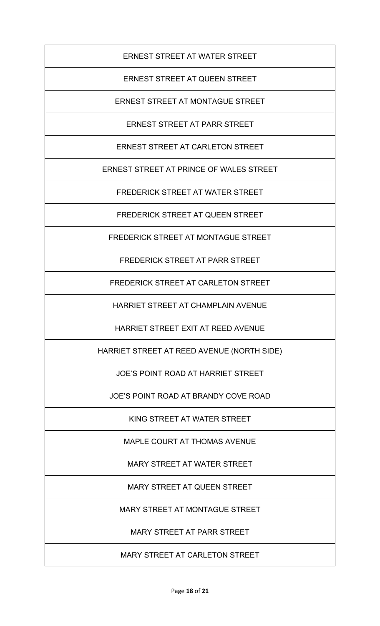## ERNEST STREET AT WATER STREET

# ERNEST STREET AT QUEEN STREET

ERNEST STREET AT MONTAGUE STREET

ERNEST STREET AT PARR STREET

ERNEST STREET AT CARLETON STREET

ERNEST STREET AT PRINCE OF WALES STREET

FREDERICK STREET AT WATER STREET

FREDERICK STREET AT QUEEN STREET

FREDERICK STREET AT MONTAGUE STREET

FREDERICK STREET AT PARR STREET

FREDERICK STREET AT CARLETON STREET

HARRIET STREET AT CHAMPLAIN AVENUE

HARRIET STREET EXIT AT REED AVENUE

HARRIET STREET AT REED AVENUE (NORTH SIDE)

JOE'S POINT ROAD AT HARRIET STREET

JOE'S POINT ROAD AT BRANDY COVE ROAD

KING STREET AT WATER STREET

MAPLE COURT AT THOMAS AVENUE

MARY STREET AT WATER STREET

MARY STREET AT QUEEN STREET

MARY STREET AT MONTAGUE STREET

MARY STREET AT PARR STREET

MARY STREET AT CARLETON STREET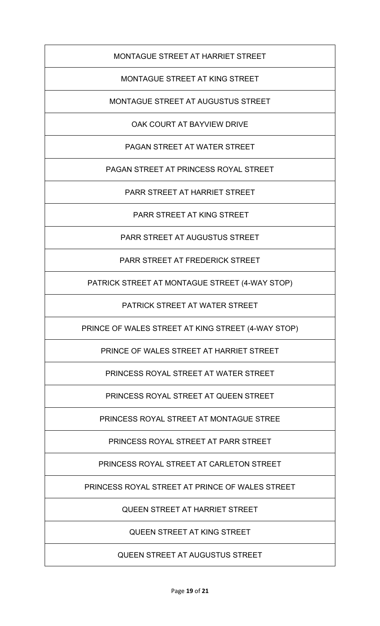MONTAGUE STREET AT HARRIET STREET

MONTAGUE STREET AT KING STREET

MONTAGUE STREET AT AUGUSTUS STREET

OAK COURT AT BAYVIEW DRIVE

PAGAN STREET AT WATER STREET

PAGAN STREET AT PRINCESS ROYAL STREET

PARR STREET AT HARRIET STREET

PARR STREET AT KING STREET

PARR STREET AT AUGUSTUS STREET

PARR STREET AT FREDERICK STREET

PATRICK STREET AT MONTAGUE STREET (4-WAY STOP)

PATRICK STREET AT WATER STREET

PRINCE OF WALES STREET AT KING STREET (4-WAY STOP)

PRINCE OF WALES STREET AT HARRIET STREET

PRINCESS ROYAL STREET AT WATER STREET

PRINCESS ROYAL STREET AT QUEEN STREET

PRINCESS ROYAL STREET AT MONTAGUE STREE

PRINCESS ROYAL STREET AT PARR STREET

PRINCESS ROYAL STREET AT CARLETON STREET

PRINCESS ROYAL STREET AT PRINCE OF WALES STREET

QUEEN STREET AT HARRIET STREET

QUEEN STREET AT KING STREET

QUEEN STREET AT AUGUSTUS STREET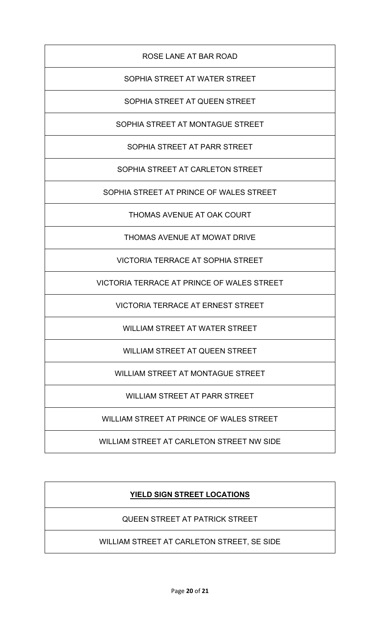# ROSE LANE AT BAR ROAD

# SOPHIA STREET AT WATER STREET

SOPHIA STREET AT QUEEN STREET

SOPHIA STREET AT MONTAGUE STREET

SOPHIA STREET AT PARR STREET

SOPHIA STREET AT CARLETON STREET

SOPHIA STREET AT PRINCE OF WALES STREET

THOMAS AVENUE AT OAK COURT

THOMAS AVENUE AT MOWAT DRIVE

VICTORIA TERRACE AT SOPHIA STREET

VICTORIA TERRACE AT PRINCE OF WALES STREET

VICTORIA TERRACE AT ERNEST STREET

WILLIAM STREET AT WATER STREET

WILLIAM STREET AT QUEEN STREET

WILLIAM STREET AT MONTAGUE STREET

WILLIAM STREET AT PARR STREET

WILLIAM STREET AT PRINCE OF WALES STREET

WILLIAM STREET AT CARLETON STREET NW SIDE

# **YIELD SIGN STREET LOCATIONS**

QUEEN STREET AT PATRICK STREET

WILLIAM STREET AT CARLETON STREET, SE SIDE